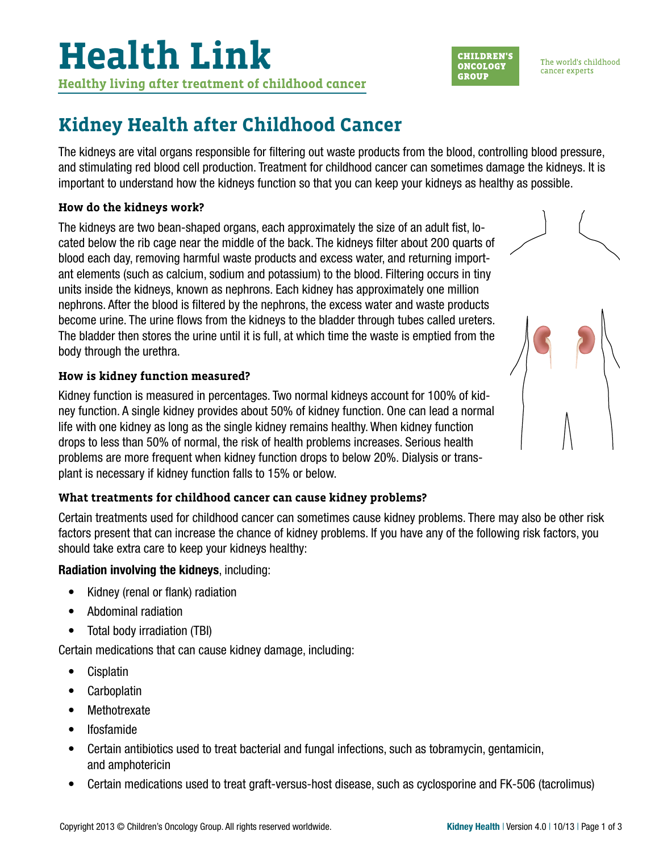# **Kidney Health after Childhood Cancer**

The kidneys are vital organs responsible for filtering out waste products from the blood, controlling blood pressure, and stimulating red blood cell production. Treatment for childhood cancer can sometimes damage the kidneys. It is important to understand how the kidneys function so that you can keep your kidneys as healthy as possible.

# **How do the kidneys work?**

The kidneys are two bean-shaped organs, each approximately the size of an adult fist, located below the rib cage near the middle of the back. The kidneys filter about 200 quarts of blood each day, removing harmful waste products and excess water, and returning important elements (such as calcium, sodium and potassium) to the blood. Filtering occurs in tiny units inside the kidneys, known as nephrons. Each kidney has approximately one million nephrons. After the blood is filtered by the nephrons, the excess water and waste products become urine. The urine flows from the kidneys to the bladder through tubes called ureters. The bladder then stores the urine until it is full, at which time the waste is emptied from the body through the urethra.

# **How is kidney function measured?**

Kidney function is measured in percentages. Two normal kidneys account for 100% of kidney function. A single kidney provides about 50% of kidney function. One can lead a normal life with one kidney as long as the single kidney remains healthy. When kidney function drops to less than 50% of normal, the risk of health problems increases. Serious health problems are more frequent when kidney function drops to below 20%. Dialysis or transplant is necessary if kidney function falls to 15% or below.

# **What treatments for childhood cancer can cause kidney problems?**

Certain treatments used for childhood cancer can sometimes cause kidney problems. There may also be other risk factors present that can increase the chance of kidney problems. If you have any of the following risk factors, you should take extra care to keep your kidneys healthy:

# Radiation involving the kidneys, including:

- Kidney (renal or flank) radiation
- Abdominal radiation
- Total body irradiation (TBI)

Certain medications that can cause kidney damage, including:

- Cisplatin
- Carboplatin
- Methotrexate
- Ifosfamide
- Certain antibiotics used to treat bacterial and fungal infections, such as tobramycin, gentamicin, and amphotericin
- Certain medications used to treat graft-versus-host disease, such as cyclosporine and FK-506 (tacrolimus)



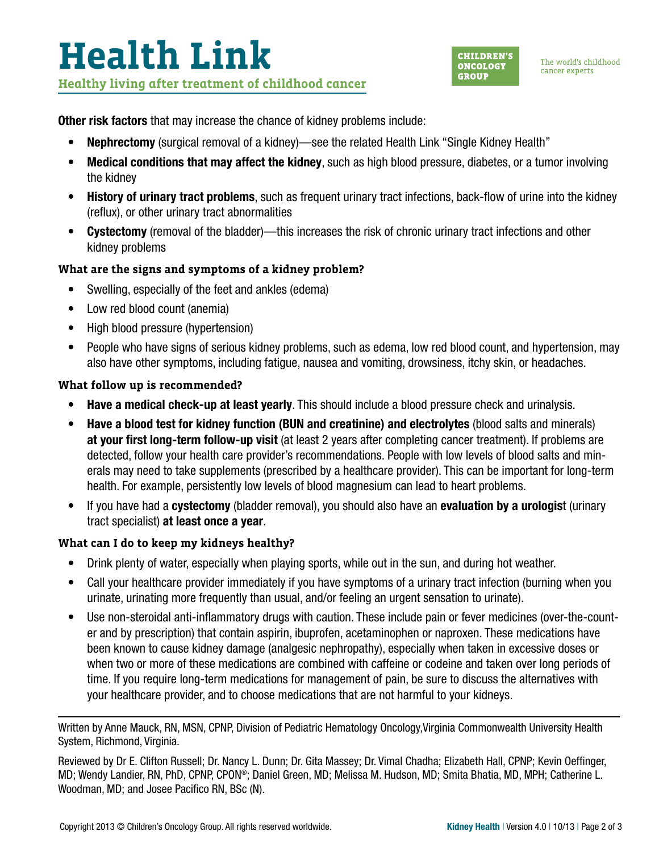**Other risk factors** that may increase the chance of kidney problems include:

- Nephrectomy (surgical removal of a kidney)—see the related Health Link "Single Kidney Health"
- Medical conditions that may affect the kidney, such as high blood pressure, diabetes, or a tumor involving the kidney
- History of urinary tract problems, such as frequent urinary tract infections, back-flow of urine into the kidney (reflux), or other urinary tract abnormalities
- Cystectomy (removal of the bladder)—this increases the risk of chronic urinary tract infections and other kidney problems

# **What are the signs and symptoms of a kidney problem?**

- Swelling, especially of the feet and ankles (edema)
- Low red blood count (anemia)
- High blood pressure (hypertension)
- People who have signs of serious kidney problems, such as edema, low red blood count, and hypertension, may also have other symptoms, including fatigue, nausea and vomiting, drowsiness, itchy skin, or headaches.

# **What follow up is recommended?**

- Have a medical check-up at least yearly. This should include a blood pressure check and urinalysis.
- Have a blood test for kidney function (BUN and creatinine) and electrolytes (blood salts and minerals) at your first long-term follow-up visit (at least 2 years after completing cancer treatment). If problems are detected, follow your health care provider's recommendations. People with low levels of blood salts and minerals may need to take supplements (prescribed by a healthcare provider). This can be important for long-term health. For example, persistently low levels of blood magnesium can lead to heart problems.
- If you have had a **cystectomy** (bladder removal), you should also have an **evaluation by a urologist** (urinary tract specialist) at least once a year.

# **What can I do to keep my kidneys healthy?**

- Drink plenty of water, especially when playing sports, while out in the sun, and during hot weather.
- Call your healthcare provider immediately if you have symptoms of a urinary tract infection (burning when you urinate, urinating more frequently than usual, and/or feeling an urgent sensation to urinate).
- Use non-steroidal anti-inflammatory drugs with caution. These include pain or fever medicines (over-the-counter and by prescription) that contain aspirin, ibuprofen, acetaminophen or naproxen. These medications have been known to cause kidney damage (analgesic nephropathy), especially when taken in excessive doses or when two or more of these medications are combined with caffeine or codeine and taken over long periods of time. If you require long-term medications for management of pain, be sure to discuss the alternatives with your healthcare provider, and to choose medications that are not harmful to your kidneys.

Written by Anne Mauck, RN, MSN, CPNP, Division of Pediatric Hematology Oncology,Virginia Commonwealth University Health System, Richmond, Virginia.

Reviewed by Dr E. Clifton Russell; Dr. Nancy L. Dunn; Dr. Gita Massey; Dr. Vimal Chadha; Elizabeth Hall, CPNP; Kevin Oeffinger, MD; Wendy Landier, RN, PhD, CPNP, CPON®; Daniel Green, MD; Melissa M. Hudson, MD; Smita Bhatia, MD, MPH; Catherine L. Woodman, MD; and Josee Pacifico RN, BSc (N).